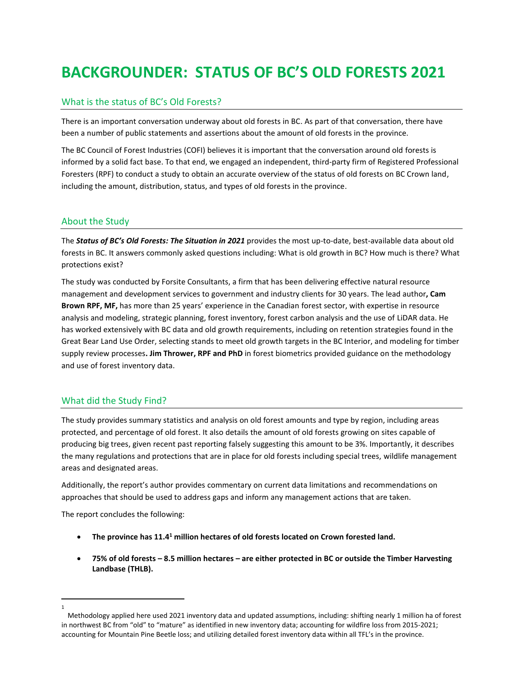# **BACKGROUNDER: STATUS OF BC'S OLD FORESTS 2021**

# What is the status of BC's Old Forests?

There is an important conversation underway about old forests in BC. As part of that conversation, there have been a number of public statements and assertions about the amount of old forests in the province.

The BC Council of Forest Industries (COFI) believes it is important that the conversation around old forests is informed by a solid fact base. To that end, we engaged an independent, third-party firm of Registered Professional Foresters (RPF) to conduct a study to obtain an accurate overview of the status of old forests on BC Crown land, including the amount, distribution, status, and types of old forests in the province.

# About the Study

The *Status of BC's Old Forests: The Situation in 2021* provides the most up-to-date, best-available data about old forests in BC. It answers commonly asked questions including: What is old growth in BC? How much is there? What protections exist?

The study was conducted by Forsite Consultants, a firm that has been delivering effective natural resource management and development services to government and industry clients for 30 years. The lead author**, Cam Brown RPF, MF,** has more than 25 years' experience in the Canadian forest sector, with expertise in resource analysis and modeling, strategic planning, forest inventory, forest carbon analysis and the use of LiDAR data. He has worked extensively with BC data and old growth requirements, including on retention strategies found in the Great Bear Land Use Order, selecting stands to meet old growth targets in the BC Interior, and modeling for timber supply review processes**. Jim Thrower, RPF and PhD** in forest biometrics provided guidance on the methodology and use of forest inventory data.

# What did the Study Find?

The study provides summary statistics and analysis on old forest amounts and type by region, including areas protected, and percentage of old forest. It also details the amount of old forests growing on sites capable of producing big trees, given recent past reporting falsely suggesting this amount to be 3%. Importantly, it describes the many regulations and protections that are in place for old forests including special trees, wildlife management areas and designated areas.

Additionally, the report's author provides commentary on current data limitations and recommendations on approaches that should be used to address gaps and inform any management actions that are taken.

The report concludes the following:

- **The province has 11.4<sup>1</sup> million hectares of old forests located on Crown forested land.**
- **75% of old forests – 8.5 million hectares – are either protected in BC or outside the Timber Harvesting Landbase (THLB).**

<sup>1</sup>

Methodology applied here used 2021 inventory data and updated assumptions, including: shifting nearly 1 million ha of forest in northwest BC from "old" to "mature" as identified in new inventory data; accounting for wildfire loss from 2015-2021; accounting for Mountain Pine Beetle loss; and utilizing detailed forest inventory data within all TFL's in the province.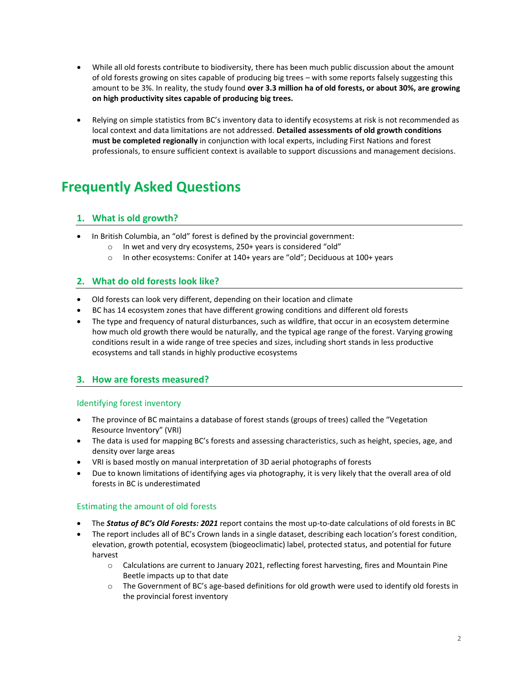- While all old forests contribute to biodiversity, there has been much public discussion about the amount of old forests growing on sites capable of producing big trees – with some reports falsely suggesting this amount to be 3%. In reality, the study found **over 3.3 million ha of old forests, or about 30%, are growing on high productivity sites capable of producing big trees.**
- Relying on simple statistics from BC's inventory data to identify ecosystems at risk is not recommended as local context and data limitations are not addressed. **Detailed assessments of old growth conditions must be completed regionally** in conjunction with local experts, including First Nations and forest professionals, to ensure sufficient context is available to support discussions and management decisions.

# **Frequently Asked Questions**

# **1. What is old growth?**

- In British Columbia, an "old" forest is defined by the provincial government:
	- o In wet and very dry ecosystems, 250+ years is considered "old"
		- o In other ecosystems: Conifer at 140+ years are "old"; Deciduous at 100+ years

# **2. What do old forests look like?**

- Old forests can look very different, depending on their location and climate
- BC has 14 ecosystem zones that have different growing conditions and different old forests
- The type and frequency of natural disturbances, such as wildfire, that occur in an ecosystem determine how much old growth there would be naturally, and the typical age range of the forest. Varying growing conditions result in a wide range of tree species and sizes, including short stands in less productive ecosystems and tall stands in highly productive ecosystems

# **3. How are forests measured?**

# Identifying forest inventory

- The province of BC maintains a database of forest stands (groups of trees) called the "Vegetation Resource Inventory" (VRI)
- The data is used for mapping BC's forests and assessing characteristics, such as height, species, age, and density over large areas
- VRI is based mostly on manual interpretation of 3D aerial photographs of forests
- Due to known limitations of identifying ages via photography, it is very likely that the overall area of old forests in BC is underestimated

# Estimating the amount of old forests

- The *Status of BC's Old Forests: 2021* report contains the most up-to-date calculations of old forests in BC
- The report includes all of BC's Crown lands in a single dataset, describing each location's forest condition, elevation, growth potential, ecosystem (biogeoclimatic) label, protected status, and potential for future harvest
	- $\circ$  Calculations are current to January 2021, reflecting forest harvesting, fires and Mountain Pine Beetle impacts up to that date
	- $\circ$  The Government of BC's age-based definitions for old growth were used to identify old forests in the provincial forest inventory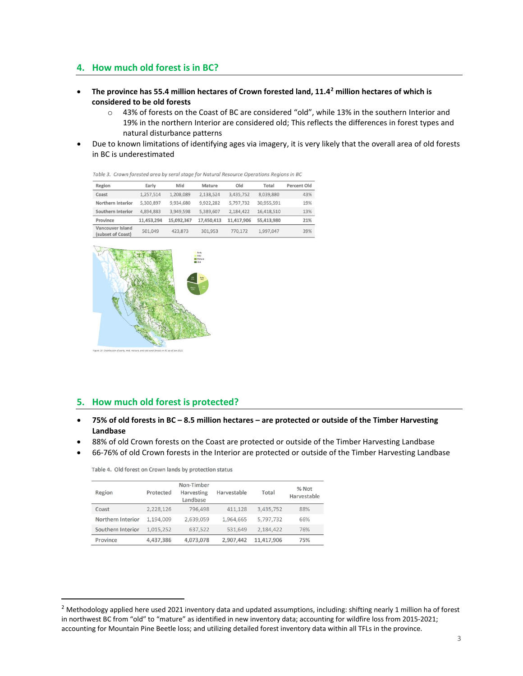## **4. How much old forest is in BC?**

- **The province has 55.4 million hectares of Crown forested land, 11.4<sup>2</sup> million hectares of which is considered to be old forests**
	- o 43% of forests on the Coast of BC are considered "old", while 13% in the southern Interior and 19% in the northern Interior are considered old; This reflects the differences in forest types and natural disturbance patterns
- Due to known limitations of identifying ages via imagery, it is very likely that the overall area of old forests in BC is underestimated

| Region                                | Early      | Mid        | Mature     | Old        | Total      | Percent Old |
|---------------------------------------|------------|------------|------------|------------|------------|-------------|
| Coast                                 | 1,257,514  | 1,208,089  | 2,138,524  | 3,435,752  | 8,039,880  | 43%         |
| Northern Interior                     | 5,300,897  | 9,934,680  | 9,922,282  | 5,797,732  | 30,955,591 | 19%         |
| Southern Interior                     | 4.894.883  | 3.949.598  | 5.389.607  | 2.184.422  | 16,418,510 | 13%         |
| Province                              | 11,453,294 | 15,092,367 | 17,450,413 | 11,417,906 | 55,413,980 | 21%         |
| Vancouver Island<br>(subset of Coast) | 501.049    | 423,873    | 301.953    | 770,172    | 1,997,047  | 39%         |



Table 3. Crown forested area by seral stage for Natural Resource Operations Regions in BC

## **5. How much old forest is protected?**

- **75% of old forests in BC – 8.5 million hectares – are protected or outside of the Timber Harvesting Landbase**
- 88% of old Crown forests on the Coast are protected or outside of the Timber Harvesting Landbase
- 66-76% of old Crown forests in the Interior are protected or outside of the Timber Harvesting Landbase

Table 4. Old forest on Crown lands by protection status

| Region            | Protected | Non-Timber<br>Harvesting<br>Landbase | Harvestable | Total      | % Not<br>Harvestable |
|-------------------|-----------|--------------------------------------|-------------|------------|----------------------|
| Coast             | 2,228,126 | 796,498                              | 411,128     | 3,435,752  | 88%                  |
| Northern Interior | 1,194,009 | 2.639.059                            | 1,964,665   | 5,797,732  | 66%                  |
| Southern Interior | 1.015.252 | 637,522                              | 531,649     | 2,184,422  | 76%                  |
| Province          | 4,437,386 | 4.073.078                            | 2.907.442   | 11,417,906 | 75%                  |

 $<sup>2</sup>$  Methodology applied here used 2021 inventory data and updated assumptions, including: shifting nearly 1 million ha of forest</sup> in northwest BC from "old" to "mature" as identified in new inventory data; accounting for wildfire loss from 2015-2021; accounting for Mountain Pine Beetle loss; and utilizing detailed forest inventory data within all TFLs in the province.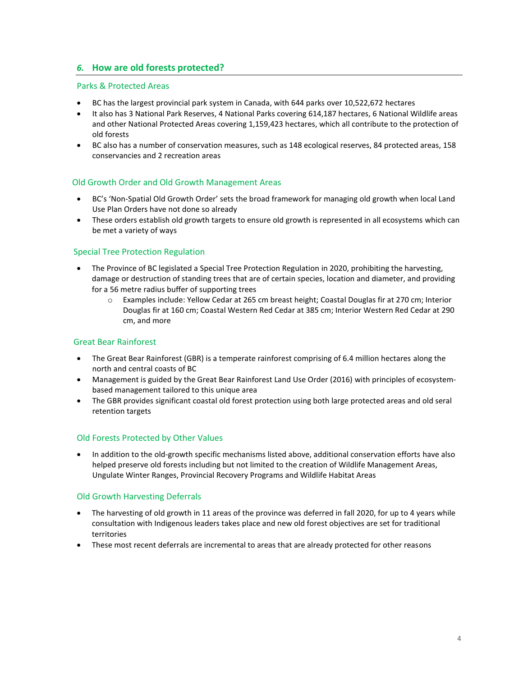# *6.* **How are old forests protected?**

#### Parks & Protected Areas

- BC has the largest provincial park system in Canada, with 644 parks over 10,522,672 hectares
- It also has 3 National Park Reserves, 4 National Parks covering 614,187 hectares, 6 National Wildlife areas and other National Protected Areas covering 1,159,423 hectares, which all contribute to the protection of old forests
- BC also has a number of conservation measures, such as 148 ecological reserves, 84 protected areas, 158 conservancies and 2 recreation areas

#### **Old Growth Order and Old Growth Management Areas**

- BC's 'Non-Spatial Old Growth Order' sets the broad framework for managing old growth when local Land Use Plan Orders have not done so already
- These orders establish old growth targets to ensure old growth is represented in all ecosystems which can be met a variety of ways

#### Special Tree Protection Regulation

- The Province of BC legislated a Special Tree Protection Regulation in 2020, prohibiting the harvesting, damage or destruction of standing trees that are of certain species, location and diameter, and providing for a 56 metre radius buffer of supporting trees
	- o Examples include: Yellow Cedar at 265 cm breast height; Coastal Douglas fir at 270 cm; Interior Douglas fir at 160 cm; Coastal Western Red Cedar at 385 cm; Interior Western Red Cedar at 290 cm, and more

#### Great Bear Rainforest

- The Great Bear Rainforest (GBR) is a temperate rainforest comprising of 6.4 million hectares along the north and central coasts of BC
- Management is guided by the Great Bear Rainforest Land Use Order (2016) with principles of ecosystembased management tailored to this unique area
- The GBR provides significant coastal old forest protection using both large protected areas and old seral retention targets

#### Old Forests Protected by Other Values

• In addition to the old-growth specific mechanisms listed above, additional conservation efforts have also helped preserve old forests including but not limited to the creation of Wildlife Management Areas, Ungulate Winter Ranges, Provincial Recovery Programs and Wildlife Habitat Areas

#### Old Growth Harvesting Deferrals

- The harvesting of old growth in 11 areas of the province was deferred in fall 2020, for up to 4 years while consultation with Indigenous leaders takes place and new old forest objectives are set for traditional territories
- These most recent deferrals are incremental to areas that are already protected for other reasons